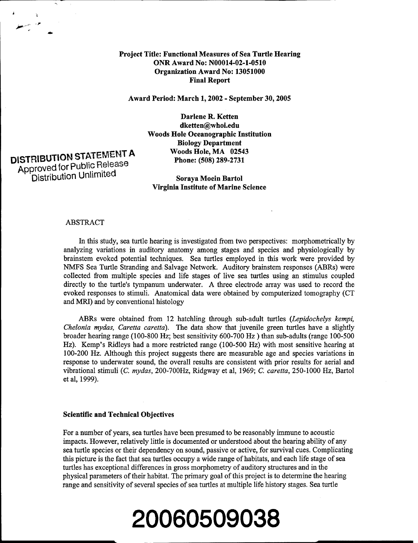# Project Title: Functional Measures of Sea Turtle Hearing ONR Award No: **N00014-02-1-0510** Organization Award No: **13051000** Final Report

Award Period: March **1,** 2002 - September **30, 2005**

Darlene R. Ketten dketten@whoi.edu Woods Hole Oceanographic Institution Biology Department Woods Hole, MA 02543

# DISTRIBUTION STATEMENT A Woods Hole, MA 0254:<br>Approved for Public Release Phone: (508) 289-2731 Approved for **Publric** eles

 $\mathbf{A}$  the state  $\mathbf{A}$ 

Distribution Unimited Soraya Moein Bartol Virginia Institute of Marine Science

#### ABSTRACT

In this study, sea turtle hearing is investigated from two perspectives: morphometrically by analyzing variations in auditory anatomy among stages and species and physiologically by brainstem evoked potential techniques. Sea turtles employed in this work were provided by NMFS Sea Turtle Stranding and Salvage Network. Auditory brainstem responses (ABRs) were collected from multiple species and life stages of live sea turtles using an stimulus coupled directly to the turtle's tympanum underwater. A three electrode array was used to record the evoked responses to stimuli. Anatomical data were obtained by computerized tomography (CT and MRI) and by conventional histology

ABRs were obtained from 12 hatchling through sub-adult turtles *(Lepidochelys kempi, Chelonia mydas, Caretta caretta).* The data show that juvenile green turtles have a slightly broader hearing range (100-800 Hz; best sensitivity 600-700 Hz ) than sub-adults (range 100-500 Hz). Kemp's Ridleys had a more restricted range (100-500 Hz) with most sensitive hearing at 100-200 Hz. Although this project suggests there are measurable age and species variations in response to underwater sound, the overall results are consistent with prior results for aerial and vibrational stimuli *(C. mydas,* 200-700Hz, Ridgway et al, 1969; *C. caretta,* 250-1000 Hz, Bartol et al, 1999).

# Scientific and Technical Objectives

For a number of years, sea turtles have been presumed to be reasonably immune to acoustic impacts. However, relatively little is documented or understood about the hearing ability of any sea turtle species or their dependency on sound, passive or active, for survival cues. Complicating this picture is the fact that sea turtles occupy a wide range of habitats, and each life stage of sea turtles has exceptional differences in gross morphometry of auditory structures and in the physical parameters of their habitat. The primary goal of this project is to determine the hearing range and sensitivity of several species of sea turtles at multiple life history stages. Sea turtle

# **20060509038**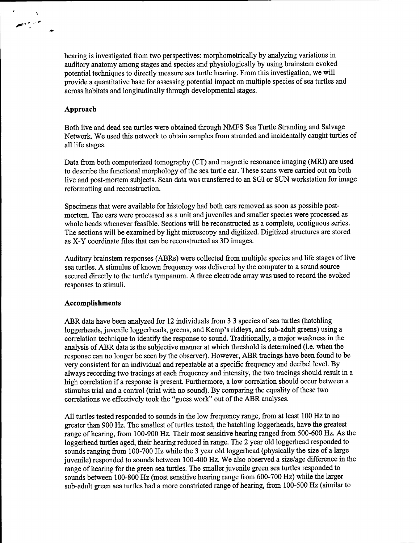hearing is investigated from two perspectives: morphometrically by analyzing variations in auditory anatomy among stages and species and physiologically by using brainstem evoked potential techniques to directly measure sea turtle hearing. From this investigation, we will provide a quantitative base for assessing potential impact on multiple species of sea turtles and across habitats and longitudinally through developmental stages.

# Approach

م ريم الطبيع

Both live and dead sea turtles were obtained through NMFS Sea Turtle Stranding and Salvage Network. We used this network to obtain samples from stranded and incidentally caught turtles of all life stages.

Data from both computerized tomography (CT) and magnetic resonance imaging (MRI) are used to describe the functional morphology of the sea turtle ear. These scans were carried out on both live and post-mortem subjects. Scan data was transferred to an SGI or SUN workstation for image reformatting and reconstruction.

Specimens that were available for histology had both ears removed as soon as possible postmortem. The ears were processed as a unit and juveniles and smaller species were processed as whole heads whenever feasible. Sections will be reconstructed as a complete, contiguous series. The sections will be examined by light microscopy and digitized. Digitized structures are stored as X-Y coordinate files that can be reconstructed as 3D images.

Auditory brainstem responses (ABRs) were collected from multiple species and life stages of live sea turtles. A stimulus of known frequency was delivered by the computer to a sound source secured directly to the turtle's tympanum. A three electrode array was used to record the evoked responses to stimuli.

# Accomplishments

ABR data have been analyzed for 12 individuals from 3 3 species of sea turtles (hatchling loggerheads, juvenile loggerheads, greens, and Kemp's ridleys, and sub-adult greens) using a correlation technique to identify the response to sound. Traditionally, a major weakness in the analysis of ABR data is the subjective manner at which threshold is determined (i.e. when the response can no longer be seen by the observer). However, ABR tracings have been found to be very consistent for an individual and repeatable at a specific frequency and decibel level. By always recording two tracings at each frequency and intensity, the two tracings should result in a high correlation if a response is present. Furthermore, a low correlation should occur between a stimulus trial and a control (trial with no sound). By comparing the equality of these two correlations we effectively took the "guess work" out of the ABR analyses.

All turtles tested responded to sounds in the low frequency range, from at least 100 Hz to no greater than 900 Hz. The smallest of turtles tested, the hatchling loggerheads, have the greatest range of hearing, from 100-900 Hz. Their most sensitive hearing ranged from 500-600 Hz. As the loggerhead turtles aged, their hearing reduced in range. The 2 year old loggerhead responded to sounds ranging from 100-700 Hz while the 3 year old loggerhead (physically the size of a large juvenile) responded to sounds between 100-400 Hz. We also observed a size/age difference in the range of hearing for the green sea turtles. The smaller juvenile green sea turtles responded to sounds between 100-800 Hz (most sensitive hearing range from 600-700 Hz) while the larger sub-adult green sea turtles had a more constricted range of hearing, from 100-500 Hz (similar to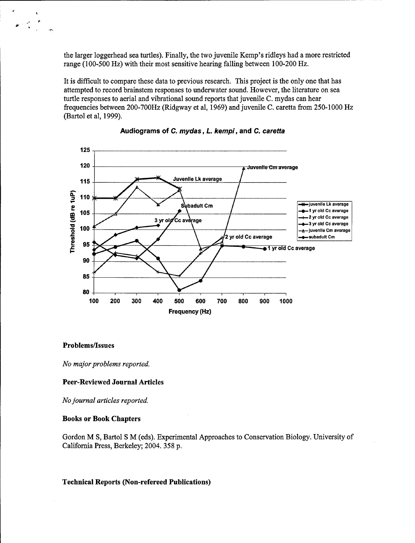the larger loggerhead sea turtles). Finally, the two juvenile Kemp's ridleys had a more restricted range (100-500 Hz) with their most sensitive hearing falling between 100-200 Hz.

It is difficult to compare these data to previous research. This project is the only one that has attempted to record brainstem responses to underwater sound. However, the literature on sea turtle responses to aerial and vibrational sound reports that juvenile C. mydas can hear frequencies between 200-700Hz (Ridgway et al, 1969) and juvenile C. caretta from 250-1000 Hz (Bartol et al, 1999).



# Audiograms of **C.** *mydas, L. kempi,* and *C. caretta*

# Problems/Issues

 $\mathbb{R}^{n \times n}$ 

*No major problems reported.*

#### Peer-Reviewed Journal Articles

*No journal articles reported.*

#### Books or Book Chapters

Gordon M S, Bartol S M (eds). Experimental Approaches to Conservation Biology. University of California Press, Berkeley; 2004. 358 p.

# Technical Reports (Non-refereed Publications)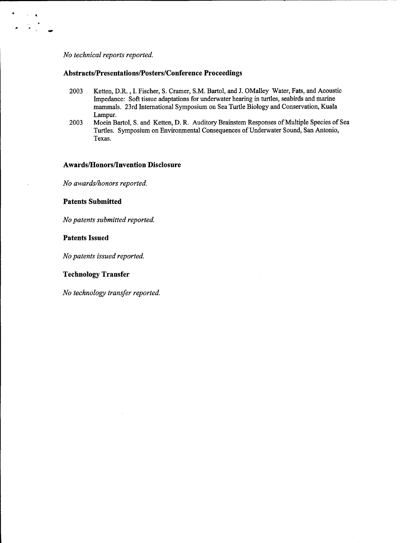#### *No technical reports reported.*

 $\begin{aligned} \frac{\partial}{\partial t} & = \frac{1}{2} \frac{1}{2} \frac{1}{2} \frac{1}{2} \frac{1}{2} \frac{1}{2} \frac{1}{2} \frac{1}{2} \frac{1}{2} \frac{1}{2} \frac{1}{2} \frac{1}{2} \frac{1}{2} \frac{1}{2} \frac{1}{2} \frac{1}{2} \frac{1}{2} \frac{1}{2} \frac{1}{2} \frac{1}{2} \frac{1}{2} \frac{1}{2} \frac{1}{2} \frac{1}{2} \frac{1}{2} \frac{1}{2} \frac{1}{2} \frac{1}{2} \frac{1}{2} \$ 

# Abstracts/Presentations/Posters/Conference Proceedings

- 2003 Ketten, D.R. , I. Fischer, S. Cramer, S.M. Bartol, and J. OMalley Water, Fats, and Acoustic Impedance: Soft tissue adaptations for underwater hearing in turtles, seabirds and marine mammals. 23rd International Symposium on Sea Turtle Biology and Conservation, Kuala Lampur.
- 2003 Moein Bartol, S. and Ketten, D. R. Auditory Brainstem Responses of Multiple Species of Sea Turtles. Symposium on Environmental Consequences of Underwater Sound, San Antonio, Texas.

# Awards/Honors/Invention Disclosure

*No awards/honors reported.*

# Patents Submitted

*No patents submitted reported.*

# Patents Issued

*No patents issued reported.*

# Technology Transfer

*No technology transfer reported.*